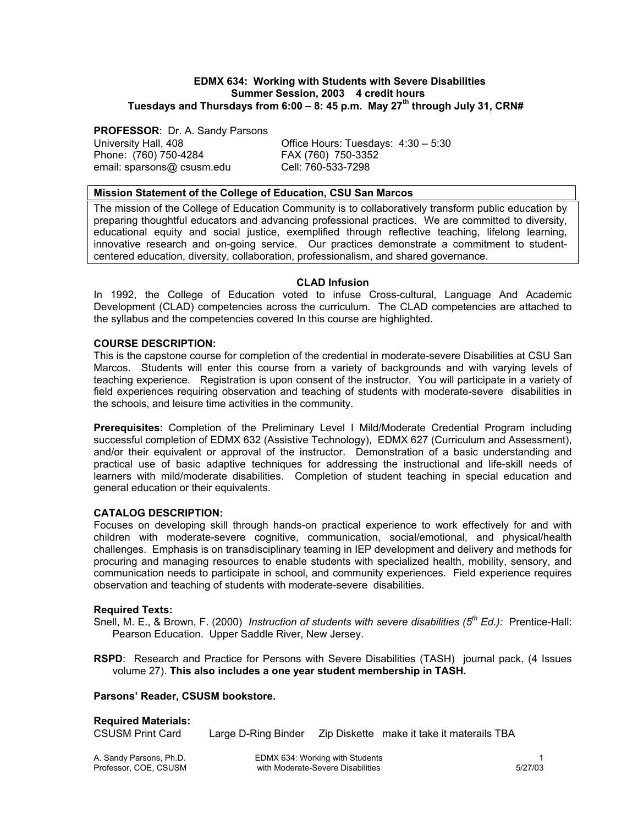### **EDMX 634: Working with Students with Severe Disabilities Summer Session, 2003 4 credit hours Tuesdays and Thursdays from 6:00 – 8: 45 p.m. May 27th through July 31, CRN#**

**PROFESSOR**: Dr. A. Sandy Parsons

Phone: (760) 750-4284 FAX (760) 750-3352<br>email: sparsons@ csusm.edu FAX (760-533-7298 email: sparsons@ csusm.edu

University Hall, 408 Office Hours: Tuesdays: 4:30 – 5:30

### **Mission Statement of the College of Education, CSU San Marcos**

The mission of the College of Education Community is to collaboratively transform public education by preparing thoughtful educators and advancing professional practices. We are committed to diversity, educational equity and social justice, exemplified through reflective teaching, lifelong learning, innovative research and on-going service. Our practices demonstrate a commitment to studentcentered education, diversity, collaboration, professionalism, and shared governance.

## **CLAD Infusion**

In 1992, the College of Education voted to infuse Cross-cultural, Language And Academic Development (CLAD) competencies across the curriculum. The CLAD competencies are attached to the syllabus and the competencies covered In this course are highlighted.

## **COURSE DESCRIPTION:**

This is the capstone course for completion of the credential in moderate-severe Disabilities at CSU San Marcos. Students will enter this course from a variety of backgrounds and with varying levels of teaching experience. Registration is upon consent of the instructor. You will participate in a variety of field experiences requiring observation and teaching of students with moderate-severe disabilities in the schools, and leisure time activities in the community.

**Prerequisites**: Completion of the Preliminary Level I Mild/Moderate Credential Program including successful completion of EDMX 632 (Assistive Technology), EDMX 627 (Curriculum and Assessment), and/or their equivalent or approval of the instructor. Demonstration of a basic understanding and practical use of basic adaptive techniques for addressing the instructional and life-skill needs of learners with mild/moderate disabilities. Completion of student teaching in special education and general education or their equivalents.

## **CATALOG DESCRIPTION:**

Focuses on developing skill through hands-on practical experience to work effectively for and with children with moderate-severe cognitive, communication, social/emotional, and physical/health challenges. Emphasis is on transdisciplinary teaming in IEP development and delivery and methods for procuring and managing resources to enable students with specialized health, mobility, sensory, and communication needs to participate in school, and community experiences. Field experience requires observation and teaching of students with moderate-severe disabilities.

### **Required Texts:**

Snell, M. E., & Brown, F. (2000) *Instruction of students with severe disabilities (5<sup>th</sup> Ed.):* Prentice-Hall: Pearson Education. Upper Saddle River, New Jersey.

**RSPD**: Research and Practice for Persons with Severe Disabilities (TASH) journal pack, (4 Issues volume 27). **This also includes a one year student membership in TASH.** 

### **Parsons' Reader, CSUSM bookstore.**

### **Required Materials:**

CSUSM Print Card Large D-Ring Binder Zip Diskette make it take it materails TBA

A. Sandy Parsons, Ph.D. **EDMX 634: Working with Students** 1 and part of the Students 1 and the Students 1 and 1<br>15/27/03 Professor, COE, CSUSM with Moderate-Severe Disabilities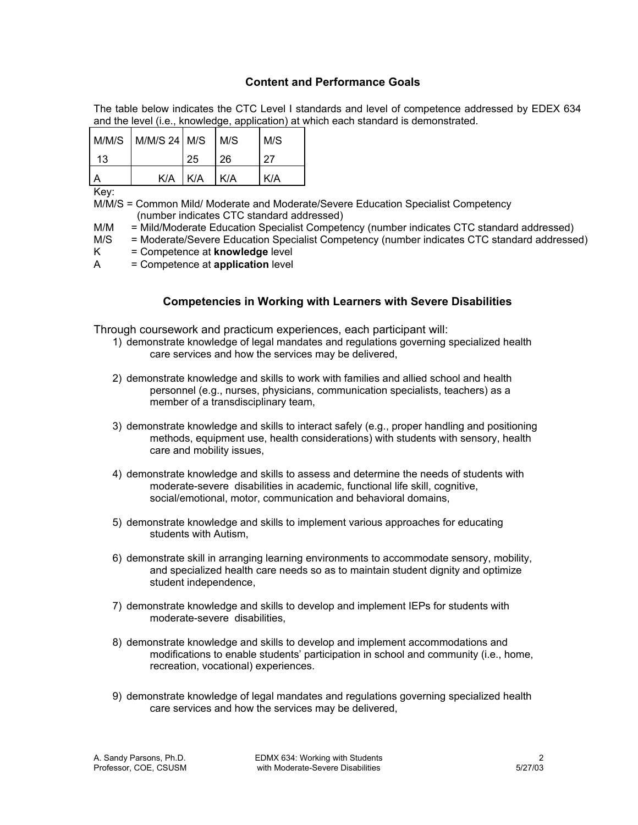# **Content and Performance Goals**

The table below indicates the CTC Level I standards and level of competence addressed by EDEX 634 and the level (i.e., knowledge, application) at which each standard is demonstrated.

|    | $M/M/S$ $M/M/S$ 24 $M/S$ $M/S$ |             |    | M/S |
|----|--------------------------------|-------------|----|-----|
| 13 |                                | 25          | 26 |     |
|    |                                | K/A K/A K/A |    | K/A |

Key:

M/M/S = Common Mild/ Moderate and Moderate/Severe Education Specialist Competency (number indicates CTC standard addressed)

M/M = Mild/Moderate Education Specialist Competency (number indicates CTC standard addressed)

- M/S = Moderate/Severe Education Specialist Competency (number indicates CTC standard addressed)
- K = Competence at **knowledge** level
- A = Competence at **application** level

# **Competencies in Working with Learners with Severe Disabilities**

Through coursework and practicum experiences, each participant will:

- 1) demonstrate knowledge of legal mandates and regulations governing specialized health care services and how the services may be delivered,
- 2) demonstrate knowledge and skills to work with families and allied school and health personnel (e.g., nurses, physicians, communication specialists, teachers) as a member of a transdisciplinary team,
- 3) demonstrate knowledge and skills to interact safely (e.g., proper handling and positioning methods, equipment use, health considerations) with students with sensory, health care and mobility issues,
- 4) demonstrate knowledge and skills to assess and determine the needs of students with moderate-severe disabilities in academic, functional life skill, cognitive, social/emotional, motor, communication and behavioral domains,
- 5) demonstrate knowledge and skills to implement various approaches for educating students with Autism,
- 6) demonstrate skill in arranging learning environments to accommodate sensory, mobility, and specialized health care needs so as to maintain student dignity and optimize student independence,
- 7) demonstrate knowledge and skills to develop and implement IEPs for students with moderate-severe disabilities,
- 8) demonstrate knowledge and skills to develop and implement accommodations and modifications to enable students' participation in school and community (i.e., home, recreation, vocational) experiences.
- 9) demonstrate knowledge of legal mandates and regulations governing specialized health care services and how the services may be delivered,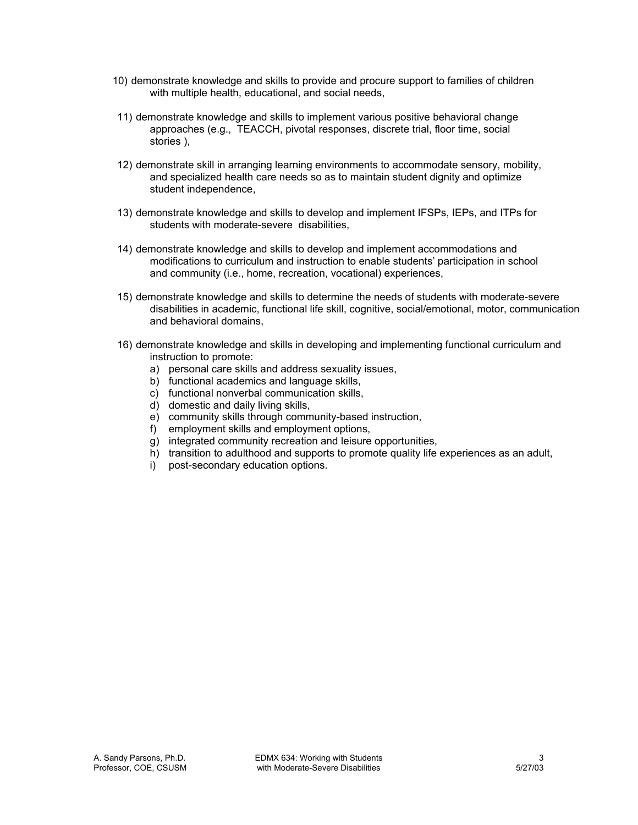- 10) demonstrate knowledge and skills to provide and procure support to families of children with multiple health, educational, and social needs.
- 11) demonstrate knowledge and skills to implement various positive behavioral change approaches (e.g., TEACCH, pivotal responses, discrete trial, floor time, social stories ),
- 12) demonstrate skill in arranging learning environments to accommodate sensory, mobility, and specialized health care needs so as to maintain student dignity and optimize student independence,
- 13) demonstrate knowledge and skills to develop and implement IFSPs, IEPs, and ITPs for students with moderate-severe disabilities,
- 14) demonstrate knowledge and skills to develop and implement accommodations and modifications to curriculum and instruction to enable students' participation in school and community (i.e., home, recreation, vocational) experiences,
- 15) demonstrate knowledge and skills to determine the needs of students with moderate-severe disabilities in academic, functional life skill, cognitive, social/emotional, motor, communication and behavioral domains,
- 16) demonstrate knowledge and skills in developing and implementing functional curriculum and instruction to promote:
	- a) personal care skills and address sexuality issues,
	- b) functional academics and language skills,
	- c) functional nonverbal communication skills,
	- d) domestic and daily living skills,
	- e) community skills through community-based instruction,
	- f) employment skills and employment options,
	- g) integrated community recreation and leisure opportunities,
	- h) transition to adulthood and supports to promote quality life experiences as an adult,
	- i) post-secondary education options.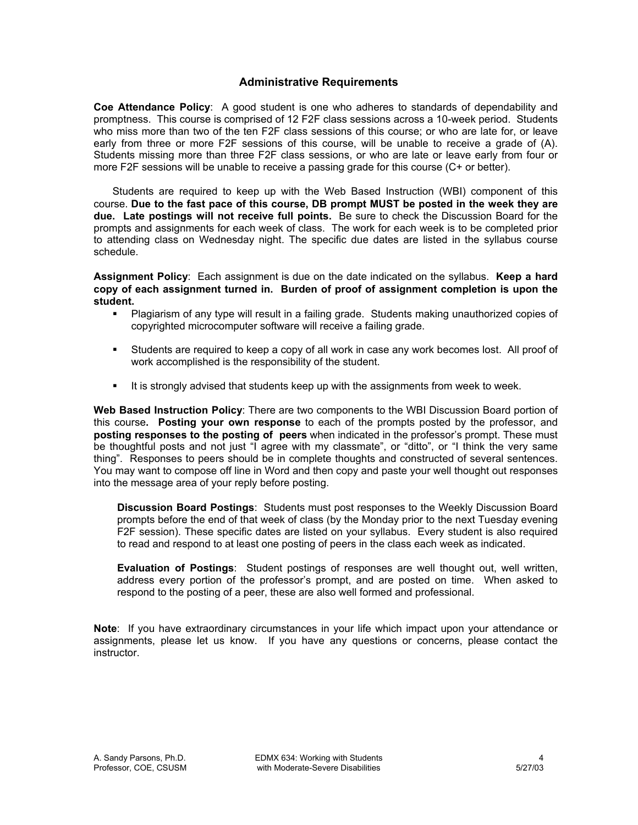# **Administrative Requirements**

**Coe Attendance Policy**: A good student is one who adheres to standards of dependability and promptness. This course is comprised of 12 F2F class sessions across a 10-week period. Students who miss more than two of the ten F2F class sessions of this course; or who are late for, or leave early from three or more F2F sessions of this course, will be unable to receive a grade of (A). Students missing more than three F2F class sessions, or who are late or leave early from four or more F2F sessions will be unable to receive a passing grade for this course (C+ or better).

Students are required to keep up with the Web Based Instruction (WBI) component of this course. **Due to the fast pace of this course, DB prompt MUST be posted in the week they are due. Late postings will not receive full points.** Be sure to check the Discussion Board for the prompts and assignments for each week of class. The work for each week is to be completed prior to attending class on Wednesday night. The specific due dates are listed in the syllabus course schedule.

**Assignment Policy**: Each assignment is due on the date indicated on the syllabus. **Keep a hard copy of each assignment turned in. Burden of proof of assignment completion is upon the student.**

- Plagiarism of any type will result in a failing grade. Students making unauthorized copies of copyrighted microcomputer software will receive a failing grade.
- Students are required to keep a copy of all work in case any work becomes lost. All proof of work accomplished is the responsibility of the student.
- It is strongly advised that students keep up with the assignments from week to week.

**Web Based Instruction Policy**: There are two components to the WBI Discussion Board portion of this course**. Posting your own response** to each of the prompts posted by the professor, and **posting responses to the posting of peers** when indicated in the professor's prompt. These must be thoughtful posts and not just "I agree with my classmate", or "ditto", or "I think the very same thing". Responses to peers should be in complete thoughts and constructed of several sentences. You may want to compose off line in Word and then copy and paste your well thought out responses into the message area of your reply before posting.

**Discussion Board Postings**: Students must post responses to the Weekly Discussion Board prompts before the end of that week of class (by the Monday prior to the next Tuesday evening F2F session). These specific dates are listed on your syllabus. Every student is also required to read and respond to at least one posting of peers in the class each week as indicated.

**Evaluation of Postings**: Student postings of responses are well thought out, well written, address every portion of the professor's prompt, and are posted on time. When asked to respond to the posting of a peer, these are also well formed and professional.

**Note**: If you have extraordinary circumstances in your life which impact upon your attendance or assignments, please let us know. If you have any questions or concerns, please contact the instructor.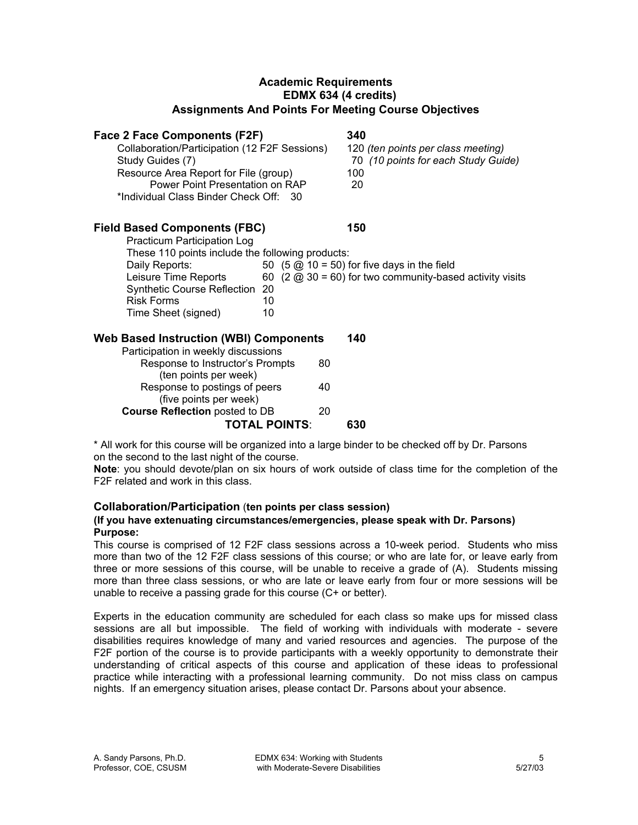# **Academic Requirements EDMX 634 (4 credits) Assignments And Points For Meeting Course Objectives**

# **Face 2 Face Components (F2F) 340**

| Collaboration/Participation (12 F2F Sessions) | 120 (ten points per class meeting)  |
|-----------------------------------------------|-------------------------------------|
| Study Guides (7)                              | 70 (10 points for each Study Guide) |
| Resource Area Report for File (group)         | 100                                 |
| Power Point Presentation on RAP               | 20                                  |
| *Individual Class Binder Check Off: 30        |                                     |

# **Field Based Components (FBC) 150**

| <b>Practicum Participation Log</b>               |    |                                                                                   |
|--------------------------------------------------|----|-----------------------------------------------------------------------------------|
| These 110 points include the following products: |    |                                                                                   |
| Daily Reports:                                   |    | 50 $(5 \text{ } \textcircled{2})$ 10 = 50) for five days in the field             |
| Leisure Time Reports                             |    | 60 $(2 \text{ } \textcircled{a} 30 = 60)$ for two community-based activity visits |
| Synthetic Course Reflection 20                   |    |                                                                                   |
| <b>Risk Forms</b>                                | 10 |                                                                                   |
| Time Sheet (signed)                              | 10 |                                                                                   |
|                                                  |    |                                                                                   |

# **Web Based Instruction (WBI) Components 140** Participation in weekly discussions

| <b>TOTAL POINTS:</b>                                                                                            |    | 630 |
|-----------------------------------------------------------------------------------------------------------------|----|-----|
| <b>Course Reflection posted to DB</b>                                                                           | 20 |     |
| (five points per week)                                                                                          |    |     |
| Response to postings of peers                                                                                   | 40 |     |
| (ten points per week)                                                                                           |    |     |
| Response to Instructor's Prompts                                                                                | 80 |     |
| controlled the model of all and additional controllers in the controllers of the controllers in the controllers |    |     |

\* All work for this course will be organized into a large binder to be checked off by Dr. Parsons on the second to the last night of the course.

**Note**: you should devote/plan on six hours of work outside of class time for the completion of the F2F related and work in this class.

# **Collaboration/Participation** ( **ten points per class session)**

# **(If you have extenuating circumstances/emergencies, please speak with Dr. Parsons) Purpose:**

This course is comprised of 12 F2F class sessions across a 10-week period. Students who miss more than two of the 12 F2F class sessions of this course; or who are late for, or leave early from three or more sessions of this course, will be unable to receive a grade of (A). Students missing more than three class sessions, or who are late or leave early from four or more sessions will be unable to receive a passing grade for this course (C+ or better).

Experts in the education community are scheduled for each class so make ups for missed class sessions are all but impossible. The field of working with individuals with moderate - severe disabilities requires knowledge of many and varied resources and agencies. The purpose of the F2F portion of the course is to provide participants with a weekly opportunity to demonstrate their understanding of critical aspects of this course and application of these ideas to professional practice while interacting with a professional learning community. Do not miss class on campus nights. If an emergency situation arises, please contact Dr. Parsons about your absence.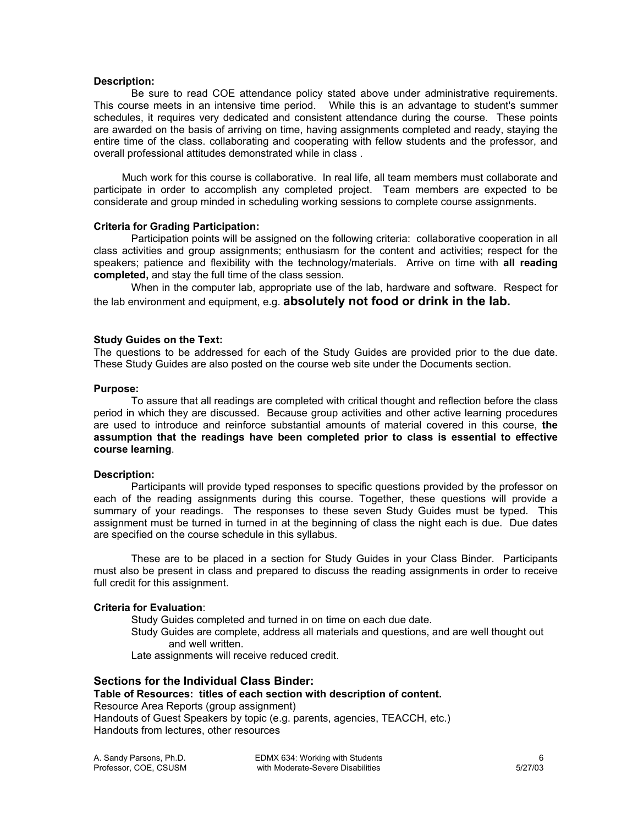#### **Description:**

entire time of the class. collaborating and cooperating with fellow students and the professor, and overall professional attitudes demonstrated while in class. Be sure to read COE attendance policy stated above under administrative requirements. This course meets in an intensive time period. While this is an advantage to student's summer schedules, it requires very dedicated and consistent attendance during the course. These points are awarded on the basis of arriving on time, having assignments completed and ready, staying the

participate in order to accomplish any completed project. Team members are expected to be considerate and group minded in scheduling working sessions to complete course assignments. Much work for this course is collaborative. In real life, all team members must collaborate and

### **riteria C for Grading Participation:**

speakers; patience and flexibility with the technology/materials. Arrive on time with all reading **omple c ted,** and stay the full time of the class session. Participation points will be assigned on the following criteria: collaborative cooperation in all class activities and group assignments; enthusiasm for the content and activities; respect for the

e lab environment and equipment, e.g. **absolutely not food or drink in the lab.** th When in the computer lab, appropriate use of the lab, hardware and software. Respect for

#### **Study Guides on the Text:**

The questions to be addressed for each of the Study Guides are provided prior to the due date. These Study Guides are also posted on the course web site under the Documents section.

#### **Purpose:**

**e readings have been completed prior to class is essential to effective assumption that th ourse learning**. **c** To assure that all readings are completed with critical thought and reflection before the class period in which they are discussed. Because group activities and other active learning procedures are used to introduce and reinforce substantial amounts of material covered in this course, **the**

#### **Description:**

are specified on the course schedule in this syllabus. Participants will provide typed responses to specific questions provided by the professor on each of the reading assignments during this course. Together, these questions will provide a summary of your readings. The responses to these seven Study Guides must be typed. This assignment must be turned in turned in at the beginning of class the night each is due. Due dates

must also be present in class and prepared to discuss the reading assignments in order to receive full credit for this assignment. These are to be placed in a section for Study Guides in your Class Binder. Participants

### **riteria C for Evaluation**:

Study Guides are complete, address all materials and questions, and are well thought out Late assignments will receive reduced credit. Study Guides completed and turned in on time on each due date. and well written.

### **Sections for the Individual Class Binder:**

## **Table of Resources: titles of each section with description of content.**

Handouts from lectures, other resources Resource Area Reports (group assignment) Handouts of Guest Speakers by topic (e.g. parents, agencies, TEACCH, etc.)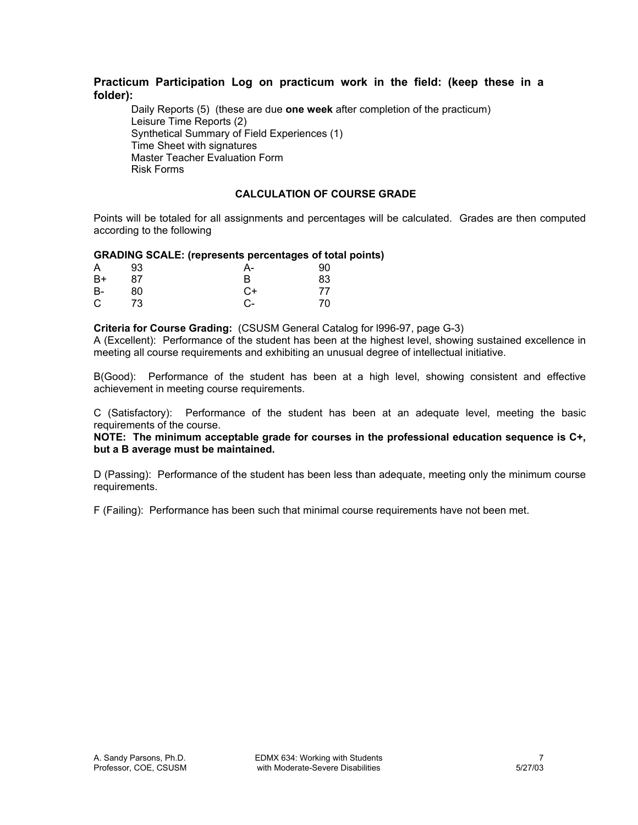# **Practicum Participation Log on practicum work in the field: (keep these in a folder):**

Daily Reports (5) (these are due **one week** after completion of the practicum) Leisure Time Reports (2) Synthetical Summary of Field Experiences (1) Time Sheet with signatures Master Teacher Evaluation Form Risk Forms

## **CALCULATION OF COURSE GRADE**

Points will be totaled for all assignments and percentages will be calculated. Grades are then computed according to the following

## **GRADING SCALE: (represents percentages of total points)**

| A  | 93   | А- | 90 |
|----|------|----|----|
| B+ | 87   | B  | 83 |
| B- | 80   | C+ | 77 |
| C  | - 73 | C- | 70 |

**Criteria for Course Grading:** (CSUSM General Catalog for l996-97, page G-3)

A (Excellent): Performance of the student has been at the highest level, showing sustained excellence in meeting all course requirements and exhibiting an unusual degree of intellectual initiative.

B(Good): Performance of the student has been at a high level, showing consistent and effective achievement in meeting course requirements.

C (Satisfactory): Performance of the student has been at an adequate level, meeting the basic requirements of the course.

**NOTE: The minimum acceptable grade for courses in the professional education sequence is C+, but a B average must be maintained.**

D (Passing): Performance of the student has been less than adequate, meeting only the minimum course requirements.

F (Failing): Performance has been such that minimal course requirements have not been met.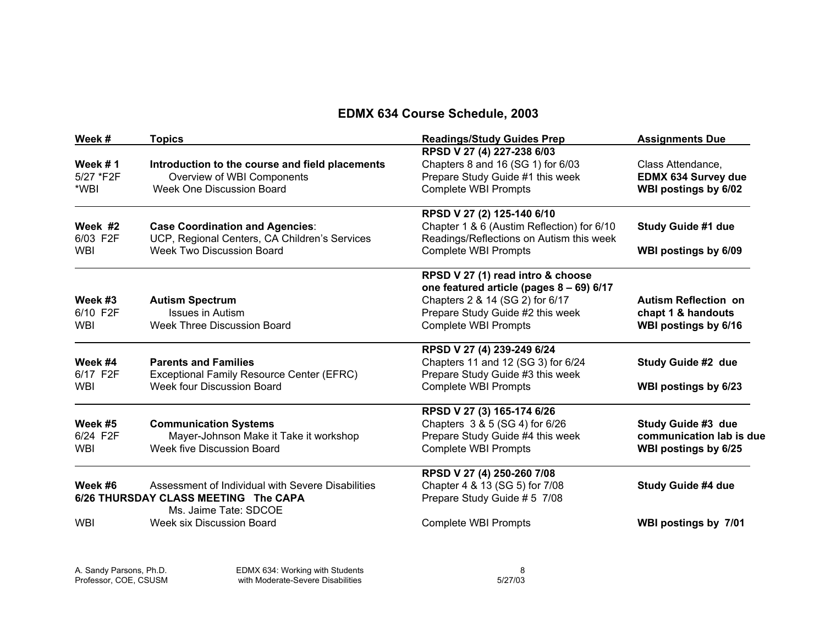# **EDMX 634 Course Schedule, 2003**

| Week #              | <b>Topics</b>                                                                           | <b>Readings/Study Guides Prep</b>                                                      | <b>Assignments Due</b>      |
|---------------------|-----------------------------------------------------------------------------------------|----------------------------------------------------------------------------------------|-----------------------------|
|                     |                                                                                         | RPSD V 27 (4) 227-238 6/03                                                             |                             |
| Week $# 1$          | Introduction to the course and field placements                                         | Chapters 8 and 16 (SG 1) for 6/03                                                      | Class Attendance,           |
| 5/27 *F2F           | Overview of WBI Components                                                              | Prepare Study Guide #1 this week                                                       | EDMX 634 Survey due         |
| *WBI                | Week One Discussion Board                                                               | <b>Complete WBI Prompts</b>                                                            | WBI postings by 6/02        |
|                     |                                                                                         | RPSD V 27 (2) 125-140 6/10                                                             |                             |
| Week #2<br>6/03 F2F | <b>Case Coordination and Agencies:</b><br>UCP, Regional Centers, CA Children's Services | Chapter 1 & 6 (Austim Reflection) for 6/10<br>Readings/Reflections on Autism this week | <b>Study Guide #1 due</b>   |
| <b>WBI</b>          | <b>Week Two Discussion Board</b>                                                        | <b>Complete WBI Prompts</b>                                                            | WBI postings by 6/09        |
|                     |                                                                                         | RPSD V 27 (1) read intro & choose                                                      |                             |
|                     |                                                                                         | one featured article (pages 8 - 69) 6/17                                               |                             |
| Week #3             | <b>Autism Spectrum</b>                                                                  | Chapters 2 & 14 (SG 2) for 6/17                                                        | <b>Autism Reflection on</b> |
| 6/10 F2F            | <b>Issues in Autism</b>                                                                 | Prepare Study Guide #2 this week                                                       | chapt 1 & handouts          |
| <b>WBI</b>          | <b>Week Three Discussion Board</b>                                                      | <b>Complete WBI Prompts</b>                                                            | WBI postings by 6/16        |
|                     |                                                                                         | RPSD V 27 (4) 239-249 6/24                                                             |                             |
| Week #4             | <b>Parents and Families</b>                                                             | Chapters 11 and 12 (SG 3) for 6/24                                                     | Study Guide #2 due          |
| 6/17 F2F            | Exceptional Family Resource Center (EFRC)                                               | Prepare Study Guide #3 this week                                                       |                             |
| WBI                 | Week four Discussion Board                                                              | <b>Complete WBI Prompts</b>                                                            | WBI postings by 6/23        |
|                     |                                                                                         | RPSD V 27 (3) 165-174 6/26                                                             |                             |
| Week #5             | <b>Communication Systems</b>                                                            | Chapters 3 & 5 (SG 4) for 6/26                                                         | Study Guide #3 due          |
| 6/24 F2F            | Mayer-Johnson Make it Take it workshop                                                  | Prepare Study Guide #4 this week                                                       | communication lab is due    |
| WBI                 | Week five Discussion Board                                                              | <b>Complete WBI Prompts</b>                                                            | WBI postings by 6/25        |
|                     |                                                                                         | RPSD V 27 (4) 250-260 7/08                                                             |                             |
| Week #6             | Assessment of Individual with Severe Disabilities                                       | Chapter 4 & 13 (SG 5) for 7/08                                                         | Study Guide #4 due          |
|                     | 6/26 THURSDAY CLASS MEETING The CAPA<br>Ms. Jaime Tate: SDCOE                           | Prepare Study Guide # 5 7/08                                                           |                             |
| <b>WBI</b>          | Week six Discussion Board                                                               | <b>Complete WBI Prompts</b>                                                            | WBI postings by 7/01        |
|                     |                                                                                         |                                                                                        |                             |

A. Sandy Parsons, Ph.D. EDMX 634: Working with Students 8 Professor, COE, CSUSM with Moderate-Severe Disabilities 5/27/03